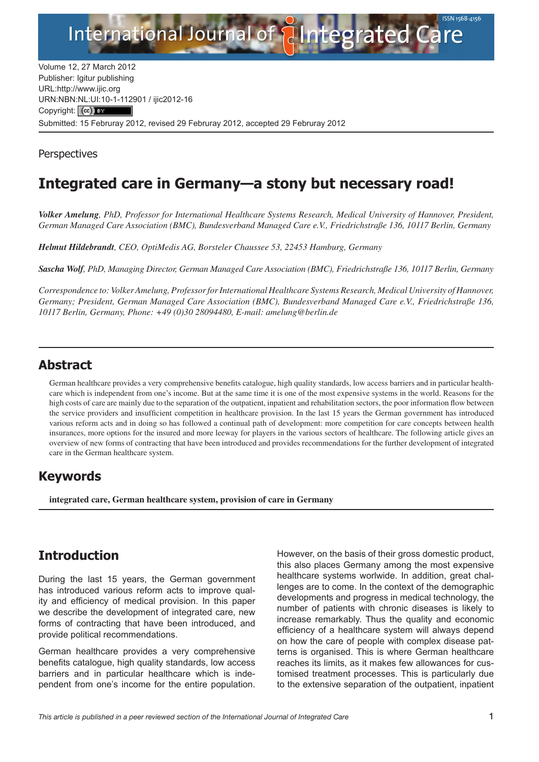

Volume 12, 27 March 2012 Publisher: Igitur publishing URL[:http://www.ijic.org](http://www.ijic.org) URN:NBN[:NL:UI:10-1-1129](http://creativecommons.org/licenses/by/3.0/)01 / ijic2012-16 Copyright: (cc) Submitted: 15 Februray 2012, revised 29 Februray 2012, accepted 29 Februray 2012

**Perspectives** 

# **Integrated care in Germany—a stony but necessary road!**

*Volker Amelung, PhD, Professor for International Healthcare Systems Research, Medical University of Hannover, President, German Managed Care Association (BMC), Bundesverband Managed Care e.V., Friedrichstraße 136, 10117 Berlin, Germany*

*Helmut Hildebrandt, CEO, OptiMedis AG, Borsteler Chaussee 53, 22453 Hamburg, Germany*

*Sascha Wolf, PhD, Managing Director, German Managed Care Association (BMC), Friedrichstraße 136, 10117 Berlin, Germany*

*Correspondence to: Volker Amelung, Professor for International Healthcare Systems Research, Medical University of Hannover, Germany; President, German Managed Care Association (BMC), Bundesverband Managed Care e.V., Friedrichstraße 136, 10117 Berlin, Germany, Phone: +49 (0)30 28094480, E-mail: [amelung@berlin.de](mailto:amelung@berlin.de)*

#### **Abstract**

German healthcare provides a very comprehensive benefits catalogue, high quality standards, low access barriers and in particular healthcare which is independent from one's income. But at the same time it is one of the most expensive systems in the world. Reasons for the high costs of care are mainly due to the separation of the outpatient, inpatient and rehabilitation sectors, the poor information flow between the service providers and insufficient competition in healthcare provision. In the last 15 years the German government has introduced various reform acts and in doing so has followed a continual path of development: more competition for care concepts between health insurances, more options for the insured and more leeway for players in the various sectors of healthcare. The following article gives an overview of new forms of contracting that have been introduced and provides recommendations for the further development of integrated care in the German healthcare system.

## **Keywords**

**integrated care, German healthcare system, provision of care in Germany**

## **Introduction**

During the last 15 years, the German government has introduced various reform acts to improve quality and efficiency of medical provision. In this paper we describe the development of integrated care, new forms of contracting that have been introduced, and provide political recommendations.

German healthcare provides a very comprehensive benefits catalogue, high quality standards, low access barriers and in particular healthcare which is independent from one's income for the entire population. However, on the basis of their gross domestic product, this also places Germany among the most expensive healthcare systems worlwide. In addition, great challenges are to come. In the context of the demographic developments and progress in medical technology, the number of patients with chronic diseases is likely to increase remarkably. Thus the quality and economic efficiency of a healthcare system will always depend on how the care of people with complex disease patterns is organised. This is where German healthcare reaches its limits, as it makes few allowances for customised treatment processes. This is particularly due to the extensive separation of the outpatient, inpatient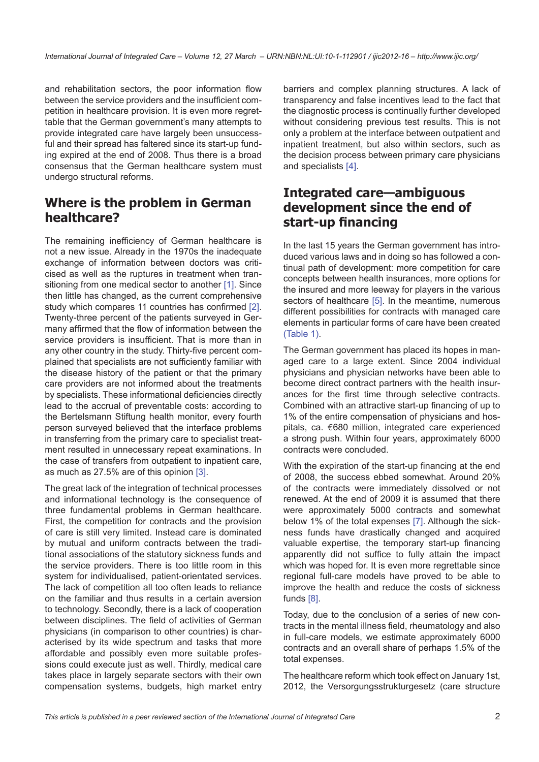and rehabilitation sectors, the poor information flow between the service providers and the insufficient competition in healthcare provision. It is even more regrettable that the German government's many attempts to provide integrated care have largely been unsuccessful and their spread has faltered since its start-up funding expired at the end of 2008. Thus there is a broad consensus that the German healthcare system must undergo structural reforms.

#### **Where is the problem in German healthcare?**

The remaining inefficiency of German healthcare is not a new issue. Already in the 1970s the inadequate exchange of information between doctors was criticised as well as the ruptures in treatment when tran-sitioning from one medical sector to another [\[1\]](#page-4-0). Since then little has changed, as the current comprehensive study which compares 11 countries has confirmed [\[2\]](#page-4-0). Twenty-three percent of the patients surveyed in Germany affirmed that the flow of information between the service providers is insufficient. That is more than in any other country in the study. Thirty-five percent complained that specialists are not sufficiently familiar with the disease history of the patient or that the primary care providers are not informed about the treatments by specialists. These informational deficiencies directly lead to the accrual of preventable costs: according to the Bertelsmann Stiftung health monitor, every fourth person surveyed believed that the interface problems in transferring from the primary care to specialist treatment resulted in unnecessary repeat examinations. In the case of transfers from outpatient to inpatient care, as much as 27.5% are of this opinion [\[3\]](#page-4-0).

The great lack of the integration of technical processes and informational technology is the consequence of three fundamental problems in German healthcare. First, the competition for contracts and the provision of care is still very limited. Instead care is dominated by mutual and uniform contracts between the traditional associations of the statutory sickness funds and the service providers. There is too little room in this system for individualised, patient-orientated services. The lack of competition all too often leads to reliance on the familiar and thus results in a certain aversion to technology. Secondly, there is a lack of cooperation between disciplines. The field of activities of German physicians (in comparison to other countries) is characterised by its wide spectrum and tasks that more affordable and possibly even more suitable professions could execute just as well. Thirdly, medical care takes place in largely separate sectors with their own compensation systems, budgets, high market entry

barriers and complex planning structures. A lack of transparency and false incentives lead to the fact that the diagnostic process is continually further developed without considering previous test results. This is not only a problem at the interface between outpatient and inpatient treatment, but also within sectors, such as the decision process between primary care physicians and specialists [\[4\]](#page-4-0).

#### **Integrated care—ambiguous development since the end of start-up financing**

In the last 15 years the German government has introduced various laws and in doing so has followed a continual path of development: more competition for care concepts between health insurances, more options for the insured and more leeway for players in the various sectors of healthcare [[5\]](#page-4-0). In the meantime, numerous different possibilities for contracts with managed care elements in particular forms of care have been created ([Table 1\)](#page-2-0).

The German government has placed its hopes in managed care to a large extent. Since 2004 individual physicians and physician networks have been able to become direct contract partners with the health insurances for the first time through selective contracts. Combined with an attractive start-up financing of up to 1% of the entire compensation of physicians and hospitals, ca. €680 million, integrated care experienced a strong push. Within four years, approximately 6000 contracts were concluded.

With the expiration of the start-up financing at the end of 2008, the success ebbed somewhat. Around 20% of the contracts were immediately dissolved or not renewed. At the end of 2009 it is assumed that there were approximately 5000 contracts and somewhat below 1% of the total expenses [\[7\]](#page-4-0). Although the sickness funds have drastically changed and acquired valuable expertise, the temporary start-up financing apparently did not suffice to fully attain the impact which was hoped for. It is even more regrettable since regional full-care models have proved to be able to improve the health and reduce the costs of sickness funds [\[8\]](#page-4-0).

Today, due to the conclusion of a series of new contracts in the mental illness field, rheumatology and also in full-care models, we estimate approximately 6000 contracts and an overall share of perhaps 1.5% of the total expenses.

The healthcare reform which took effect on January 1st, 2012, the Versorgungsstrukturgesetz (care structure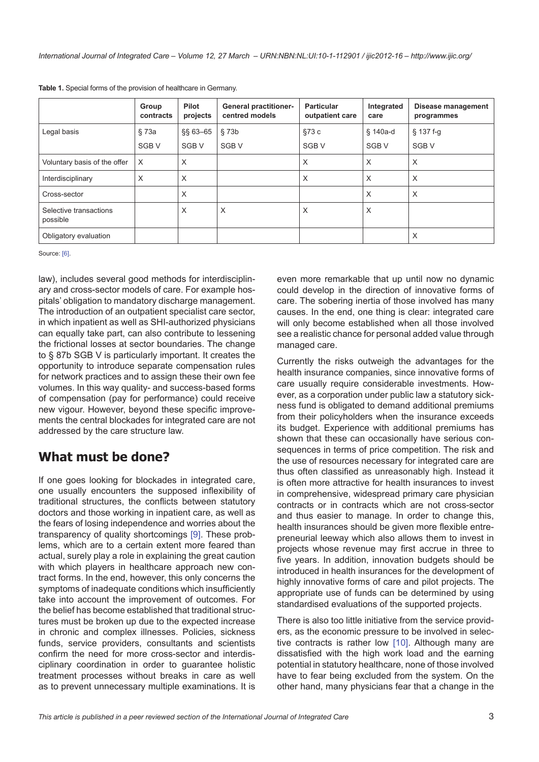|                                    | Group<br>contracts | <b>Pilot</b><br>projects | <b>General practitioner-</b><br>centred models | <b>Particular</b><br>outpatient care | Integrated<br>care | Disease management<br>programmes |
|------------------------------------|--------------------|--------------------------|------------------------------------------------|--------------------------------------|--------------------|----------------------------------|
| Legal basis                        | § 73a              | $$§ 63 - 65$             | §73b                                           | §73c                                 | § 140a-d           | $§$ 137 f-g                      |
|                                    | SGB <sub>V</sub>   | SGB <sub>V</sub>         | SGB <sub>V</sub>                               | SGB <sub>V</sub>                     | SGB <sub>V</sub>   | SGB <sub>V</sub>                 |
| Voluntary basis of the offer       | $\times$           | X                        |                                                | X                                    | X                  | X                                |
| Interdisciplinary                  | X                  | X                        |                                                | X                                    | X                  | X                                |
| Cross-sector                       |                    | X                        |                                                |                                      | X                  | X                                |
| Selective transactions<br>possible |                    | X                        | X                                              | X                                    | X                  |                                  |
| Obligatory evaluation              |                    |                          |                                                |                                      |                    | X                                |

<span id="page-2-0"></span>**Table 1.** Special forms of the provision of healthcare in Germany.

Source: [[6](#page-4-0)].

law), includes several good methods for interdisciplinary and cross-sector models of care. For example hospitals' obligation to mandatory discharge management. The introduction of an outpatient specialist care sector, in which inpatient as well as SHI-authorized physicians can equally take part, can also contribute to lessening the frictional losses at sector boundaries. The change to § 87b SGB V is particularly important. It creates the opportunity to introduce separate compensation rules for network practices and to assign these their own fee volumes. In this way quality- and success-based forms of compensation (pay for performance) could receive new vigour. However, beyond these specific improvements the central blockades for integrated care are not addressed by the care structure law.

### **What must be done?**

If one goes looking for blockades in integrated care, one usually encounters the supposed inflexibility of traditional structures, the conflicts between statutory doctors and those working in inpatient care, as well as the fears of losing independence and worries about the transparency of quality shortcomings [\[9\]](#page-4-0). These problems, which are to a certain extent more feared than actual, surely play a role in explaining the great caution with which players in healthcare approach new contract forms. In the end, however, this only concerns the symptoms of inadequate conditions which insufficiently take into account the improvement of outcomes. For the belief has become established that traditional structures must be broken up due to the expected increase in chronic and complex illnesses. Policies, sickness funds, service providers, consultants and scientists confirm the need for more cross-sector and interdisciplinary coordination in order to guarantee holistic treatment processes without breaks in care as well as to prevent unnecessary multiple examinations. It is

even more remarkable that up until now no dynamic could develop in the direction of innovative forms of care. The sobering inertia of those involved has many causes. In the end, one thing is clear: integrated care will only become established when all those involved see a realistic chance for personal added value through managed care.

Currently the risks outweigh the advantages for the health insurance companies, since innovative forms of care usually require considerable investments. However, as a corporation under public law a statutory sickness fund is obligated to demand additional premiums from their policyholders when the insurance exceeds its budget. Experience with additional premiums has shown that these can occasionally have serious consequences in terms of price competition. The risk and the use of resources necessary for integrated care are thus often classified as unreasonably high. Instead it is often more attractive for health insurances to invest in comprehensive, widespread primary care physician contracts or in contracts which are not cross-sector and thus easier to manage. In order to change this, health insurances should be given more flexible entrepreneurial leeway which also allows them to invest in projects whose revenue may first accrue in three to five years. In addition, innovation budgets should be introduced in health insurances for the development of highly innovative forms of care and pilot projects. The appropriate use of funds can be determined by using standardised evaluations of the supported projects.

There is also too little initiative from the service providers, as the economic pressure to be involved in selective contracts is rather low [[10](#page-4-0)]. Although many are dissatisfied with the high work load and the earning potential in statutory healthcare, none of those involved have to fear being excluded from the system. On the other hand, many physicians fear that a change in the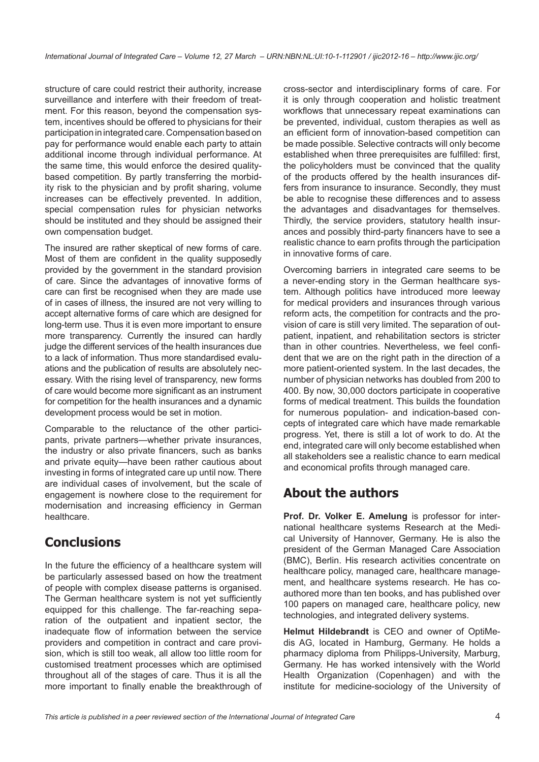structure of care could restrict their authority, increase surveillance and interfere with their freedom of treatment. For this reason, beyond the compensation system, incentives should be offered to physicians for their participation in integrated care. Compensation based on pay for performance would enable each party to attain additional income through individual performance. At the same time, this would enforce the desired qualitybased competition. By partly transferring the morbidity risk to the physician and by profit sharing, volume increases can be effectively prevented. In addition, special compensation rules for physician networks should be instituted and they should be assigned their own compensation budget.

The insured are rather skeptical of new forms of care. Most of them are confident in the quality supposedly provided by the government in the standard provision of care. Since the advantages of innovative forms of care can first be recognised when they are made use of in cases of illness, the insured are not very willing to accept alternative forms of care which are designed for long-term use. Thus it is even more important to ensure more transparency. Currently the insured can hardly judge the different services of the health insurances due to a lack of information. Thus more standardised evaluations and the publication of results are absolutely necessary. With the rising level of transparency, new forms of care would become more significant as an instrument for competition for the health insurances and a dynamic development process would be set in motion.

Comparable to the reluctance of the other participants, private partners—whether private insurances, the industry or also private financers, such as banks and private equity—have been rather cautious about investing in forms of integrated care up until now. There are individual cases of involvement, but the scale of engagement is nowhere close to the requirement for modernisation and increasing efficiency in German healthcare.

## **Conclusions**

In the future the efficiency of a healthcare system will be particularly assessed based on how the treatment of people with complex disease patterns is organised. The German healthcare system is not yet sufficiently equipped for this challenge. The far-reaching separation of the outpatient and inpatient sector, the inadequate flow of information between the service providers and competition in contract and care provision, which is still too weak, all allow too little room for customised treatment processes which are optimised throughout all of the stages of care. Thus it is all the more important to finally enable the breakthrough of

cross-sector and interdisciplinary forms of care. For it is only through cooperation and holistic treatment workflows that unnecessary repeat examinations can be prevented, individual, custom therapies as well as an efficient form of innovation-based competition can be made possible. Selective contracts will only become established when three prerequisites are fulfilled: first, the policyholders must be convinced that the quality of the products offered by the health insurances differs from insurance to insurance. Secondly, they must be able to recognise these differences and to assess the advantages and disadvantages for themselves. Thirdly, the service providers, statutory health insurances and possibly third-party financers have to see a realistic chance to earn profits through the participation in innovative forms of care.

Overcoming barriers in integrated care seems to be a never-ending story in the German healthcare system. Although politics have introduced more leeway for medical providers and insurances through various reform acts, the competition for contracts and the provision of care is still very limited. The separation of outpatient, inpatient, and rehabilitation sectors is stricter than in other countries. Nevertheless, we feel confident that we are on the right path in the direction of a more patient-oriented system. In the last decades, the number of physician networks has doubled from 200 to 400. By now, 30,000 doctors participate in cooperative forms of medical treatment. This builds the foundation for numerous population- and indication-based concepts of integrated care which have made remarkable progress. Yet, there is still a lot of work to do. At the end, integrated care will only become established when all stakeholders see a realistic chance to earn medical and economical profits through managed care.

## **About the authors**

**Prof. Dr. Volker E. Amelung** is professor for international healthcare systems Research at the Medical University of Hannover, Germany. He is also the president of the German Managed Care Association (BMC), Berlin. His research activities concentrate on healthcare policy, managed care, healthcare management, and healthcare systems research. He has coauthored more than ten books, and has published over 100 papers on managed care, healthcare policy, new technologies, and integrated delivery systems.

**Helmut Hildebrandt** is CEO and owner of OptiMedis AG, located in Hamburg, Germany. He holds a pharmacy diploma from Philipps-University, Marburg, Germany. He has worked intensively with the World Health Organization (Copenhagen) and with the institute for medicine-sociology of the University of